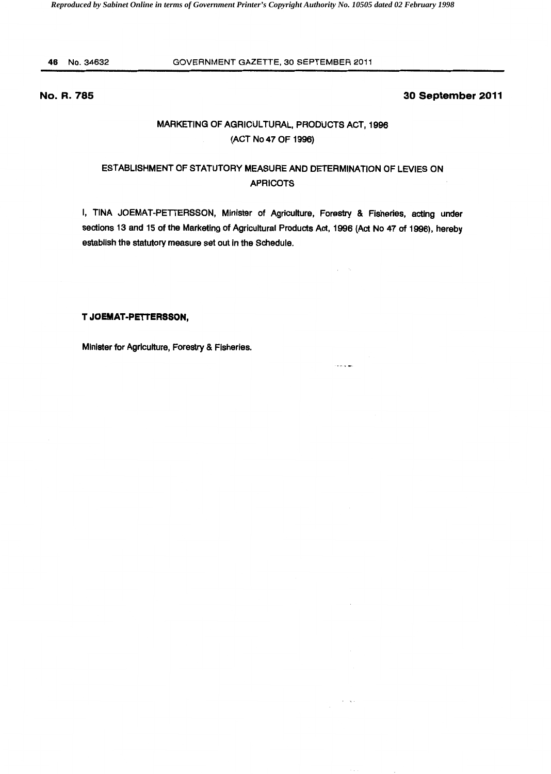46 No.34632

#### GOVERNMENT GAZETTE, 30 SEPTEMBER 2011

## **No. R. 785**

### **30 September 2011**

# MARKETING OF AGRICULTURAL, PRODUCTS ACT, 1996 (ACT No 47 OF 1996)

## ESTABLISHMENT OF STATUTORY MEASURE AND DETERMINATION OF LEVIES ON APRICOTS

I, TINA JOEMAT-PETTERSSON, Minister of Agriculture, Forestry & Fisheries, acting under sections 13 and 15 of the Marketing of Agricultural Products Act, 1996 (Act No 47 of 1996), hereby establish the statutory measure set out in the Schedule.

المادونين

 $\star = \infty$  .

#### **T JOEMAT·PETTERSSON,**

Minister for Agriculture, Forestry & Fisheries.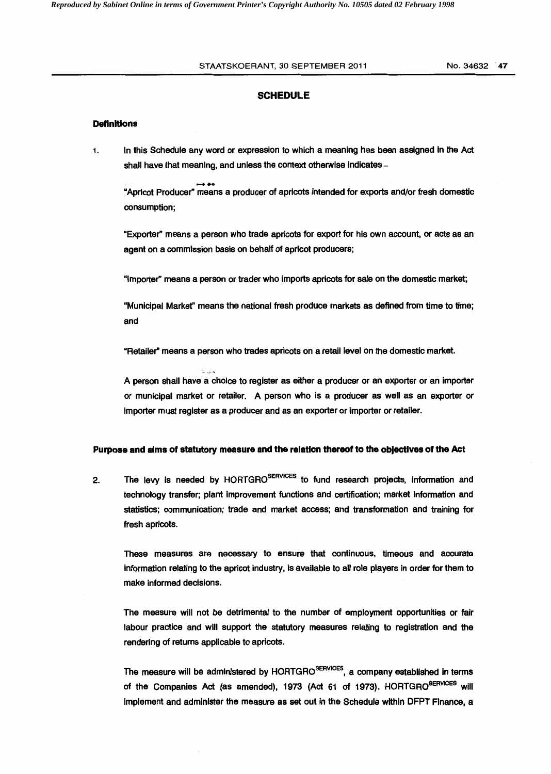#### STAATSKOERANT, 30 SEPTEMBER 2011 No. 34632 47

## SCHEDULE

#### **Definitions**

1. In this Schedule any word or expression to which a meaning has been assigned in the Act shall have that meaning, and unless the context otherwise indicates -

...... "Apricot Producer" means a producer of apricots intended for exports and/or fresh domestic consumption;

"Exporter" means a person who trade apricots for export for his own account, or acts as an agent on a commission basis on behalf of apricot producers;

"Importer'' means a person or trader who imports apricots for sale on the domestic market;

"Municipal Market" means the national fresh produce markets as defined from time to time; and

"Retailer" means a person who trades apricots on a retail level on the domestic market.

A person shall have a choice to register as either a producer or an exporter or an importer or municipal market or retailer. A person who is a producer as well as an exporter or importer must register as a producer and as an exporter or importer or retailer.

#### Purpose and alms of statutory measure and the relation thereof to the objectives of the Act

2. The levy is needed by HORTGRO<sup>SERVICES</sup> to fund research projects, information and technology transfer; plant improvement functions and certification; market information and statistics; communication; trade and market access; and transformation and training for fresh apricots.

These measures are necessary to ensure that continuous, timeous and accurate information relating to the apricot industry, is available to all role players in order for them to make informed decisions.

The measure will not be detrimental to the number of employment opportunities or fair labour practice and will support the statutory measures relating to registration and the rendering of returns applicable to apricots.

The measure will be administered by HORTGRO<sup>SERVICES</sup>, a company established in terms of the Companies Act (as amended), 1973 (Act 61 of 1973). HORTGRO<sup>SERVICES</sup> will implement and administer the measure as set out In the Schedule within DFPT Finance, a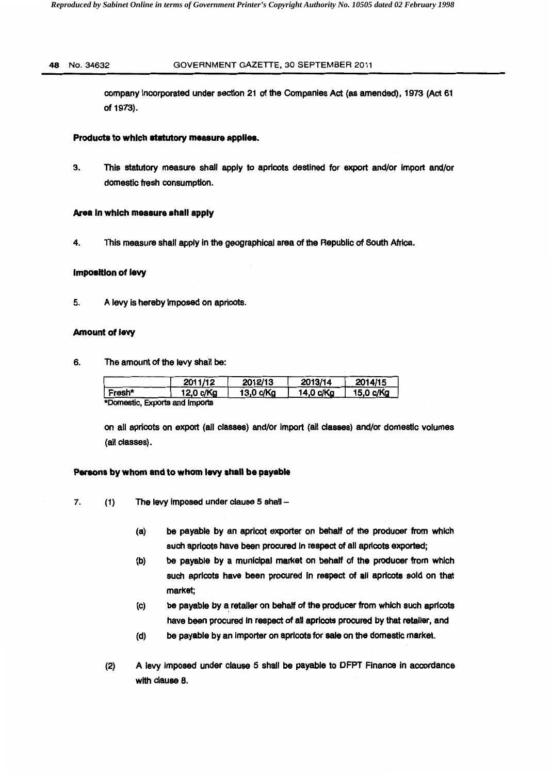#### 48 No.34632 GOVERNMENT GAZETTE, 30 SEPTEMBER 2011

company incorporated under section 21 of the Companies Act (as amended), 1973 (Act 61 of 1973).

#### Products to which statutory measure applies.

3. This statutory measure shall apply to apricots destined for export and/or import and/or domestic fresh consumption.

#### Area In which measure shall apply

4. This measure shall apply in the geographical area of the Republic of South Africa.

#### Imposition of levy

5. A levy is hereby imposed on apricots.

#### Amount of levy

6. The amount of the levy shall be:

|                                | 2011/12   | 2012/13   | 2013/14   | 2014/15   |
|--------------------------------|-----------|-----------|-----------|-----------|
| ∣ Fresh*                       | 12,0 c/Kg | 13,0 c/Kg | 14,0 c/Kg | 15,0 c/Kg |
| *Domestic, Exports and Imports |           |           |           |           |

on all apricots on export (all classes) and/or import (all classes) and/or domestic volumes (all classes).

#### Persons by whom and to whom levy shall be payable

7. (1) The levy imposed under clause 5 shall -

- (a) be payable by an apricot exporter on behalf of the producer from which such apricots have been procured in respect of all apricots exported;
- (b) be payable by a municipal market on behalf of the producer from which such apricots have been procured in respect of all apricots sold on that market;
- (c) be payable by a retailer on behalf of the producer from which such apricots have been procured in respect of all apricots procured by that retailer, and
- (d) be payable by an Importer on apricots for sale on the domestic market.
- (2) A levy imposed under clause 5 shall be payable to DFPT Finance In accordance with clause 8.